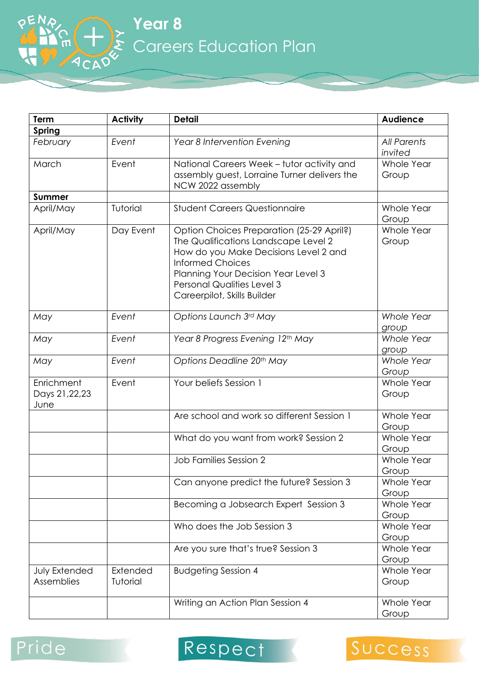**Year 8** Careers Education Plan

| Term                                | <b>Activity</b>      | <b>Detail</b>                                                                                                                                                                                                                                                    | <b>Audience</b>               |
|-------------------------------------|----------------------|------------------------------------------------------------------------------------------------------------------------------------------------------------------------------------------------------------------------------------------------------------------|-------------------------------|
| Spring                              |                      |                                                                                                                                                                                                                                                                  |                               |
| February                            | Event                | Year 8 Intervention Evening                                                                                                                                                                                                                                      | <b>All Parents</b><br>invited |
| March                               | Event                | National Careers Week - tutor activity and<br>assembly guest, Lorraine Turner delivers the<br>NCW 2022 assembly                                                                                                                                                  | Whole Year<br>Group           |
| <b>Summer</b>                       |                      |                                                                                                                                                                                                                                                                  |                               |
| April/May                           | Tutorial             | <b>Student Careers Questionnaire</b>                                                                                                                                                                                                                             | Whole Year<br>Group           |
| April/May                           | Day Event            | Option Choices Preparation (25-29 April?)<br>The Qualifications Landscape Level 2<br>How do you Make Decisions Level 2 and<br><b>Informed Choices</b><br>Planning Your Decision Year Level 3<br><b>Personal Qualities Level 3</b><br>Careerpilot, Skills Builder | Whole Year<br>Group           |
| May                                 | Event                | Options Launch 3rd May                                                                                                                                                                                                                                           | <b>Whole Year</b><br>group    |
| May                                 | Event                | Year 8 Progress Evening 12th May                                                                                                                                                                                                                                 | <b>Whole Year</b><br>group    |
| May                                 | Event                | Options Deadline 20 <sup>th</sup> May                                                                                                                                                                                                                            | <b>Whole Year</b><br>Group    |
| Enrichment<br>Days 21,22,23<br>June | Event                | Your beliefs Session 1                                                                                                                                                                                                                                           | Whole Year<br>Group           |
|                                     |                      | Are school and work so different Session 1                                                                                                                                                                                                                       | Whole Year<br>Group           |
|                                     |                      | What do you want from work? Session 2                                                                                                                                                                                                                            | Whole Year<br>Group           |
|                                     |                      | Job Families Session 2                                                                                                                                                                                                                                           | Whole Year<br>Group           |
|                                     |                      | Can anyone predict the future? Session 3                                                                                                                                                                                                                         | <b>Whole Year</b><br>Group    |
|                                     |                      | Becoming a Jobsearch Expert Session 3                                                                                                                                                                                                                            | Whole Year<br>Group           |
|                                     |                      | Who does the Job Session 3                                                                                                                                                                                                                                       | Whole Year<br>Group           |
|                                     |                      | Are you sure that's true? Session 3                                                                                                                                                                                                                              | <b>Whole Year</b><br>Group    |
| July Extended<br>Assemblies         | Extended<br>Tutorial | <b>Budgeting Session 4</b>                                                                                                                                                                                                                                       | <b>Whole Year</b><br>Group    |
|                                     |                      | Writing an Action Plan Session 4                                                                                                                                                                                                                                 | Whole Year<br>Group           |

## Pride



## Success